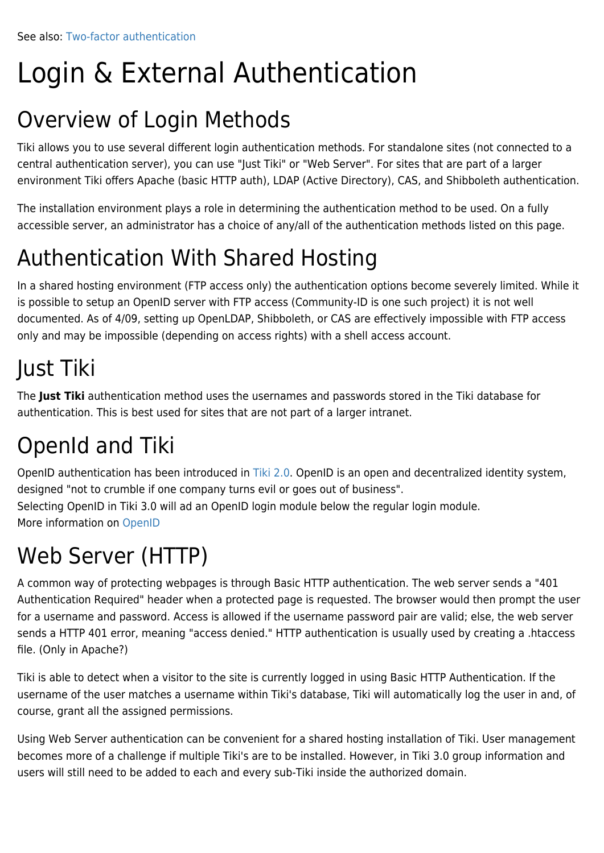# Login & External Authentication

#### Overview of Login Methods

Tiki allows you to use several different login authentication methods. For standalone sites (not connected to a central authentication server), you can use "Just Tiki" or "Web Server". For sites that are part of a larger environment Tiki offers Apache (basic HTTP auth), LDAP (Active Directory), CAS, and Shibboleth authentication.

The installation environment plays a role in determining the authentication method to be used. On a fully accessible server, an administrator has a choice of any/all of the authentication methods listed on this page.

## Authentication With Shared Hosting

In a shared hosting environment (FTP access only) the authentication options become severely limited. While it is possible to setup an OpenID server with FTP access (Community-ID is one such project) it is not well documented. As of 4/09, setting up OpenLDAP, Shibboleth, or CAS are effectively impossible with FTP access only and may be impossible (depending on access rights) with a shell access account.

## Just Tiki

The **Just Tiki** authentication method uses the usernames and passwords stored in the Tiki database for authentication. This is best used for sites that are not part of a larger intranet.

# OpenId and Tiki

OpenID authentication has been introduced in [Tiki 2.0.](https://doc.tiki.org/Tiki%202.0) OpenID is an open and decentralized identity system, designed "not to crumble if one company turns evil or goes out of business". Selecting OpenID in Tiki 3.0 will ad an OpenID login module below the regular login module. More information on [OpenID](https://doc.tiki.org/OpenId)

### Web Server (HTTP)

A common way of protecting webpages is through Basic HTTP authentication. The web server sends a "401 Authentication Required" header when a protected page is requested. The browser would then prompt the user for a username and password. Access is allowed if the username password pair are valid; else, the web server sends a HTTP 401 error, meaning "access denied." HTTP authentication is usually used by creating a .htaccess file. (Only in Apache?)

Tiki is able to detect when a visitor to the site is currently logged in using Basic HTTP Authentication. If the username of the user matches a username within Tiki's database, Tiki will automatically log the user in and, of course, grant all the assigned permissions.

Using Web Server authentication can be convenient for a shared hosting installation of Tiki. User management becomes more of a challenge if multiple Tiki's are to be installed. However, in Tiki 3.0 group information and users will still need to be added to each and every sub-Tiki inside the authorized domain.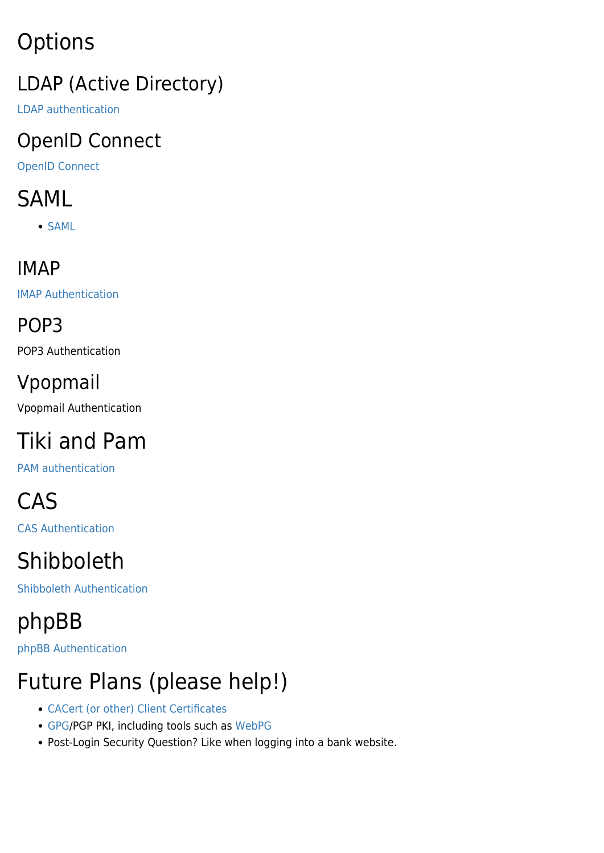# **Options**

#### LDAP (Active Directory)

[LDAP authentication](https://doc.tiki.org/LDAP-authentication)

#### OpenID Connect

[OpenID Connect](https://doc.tiki.org/OpenID-Connect)

## SAML

• [SAML](https://doc.tiki.org/SAML)

#### IMAP

[IMAP Authentication](https://doc.tiki.org/IMAP-Authentication)

POP3

POP3 Authentication

#### Vpopmail

Vpopmail Authentication

# Tiki and Pam

[PAM authentication](https://doc.tiki.org/PAM-authentication)

# CAS

[CAS Authentication](https://doc.tiki.org/CAS-Authentication)

# Shibboleth

[Shibboleth Authentication](https://doc.tiki.org/Shibboleth-Authentication)

# phpBB

[phpBB Authentication](https://doc.tiki.org/phpBB-Authentication)

# Future Plans (please help!)

- [CACert \(or other\) Client Certificates](https://cacert.org/)
- [GPG](http://www.gnupg.org/)/PGP PKI, including tools such as [WebPG](https://webpg.org/WebPG)
- Post-Login Security Question? Like when logging into a bank website.